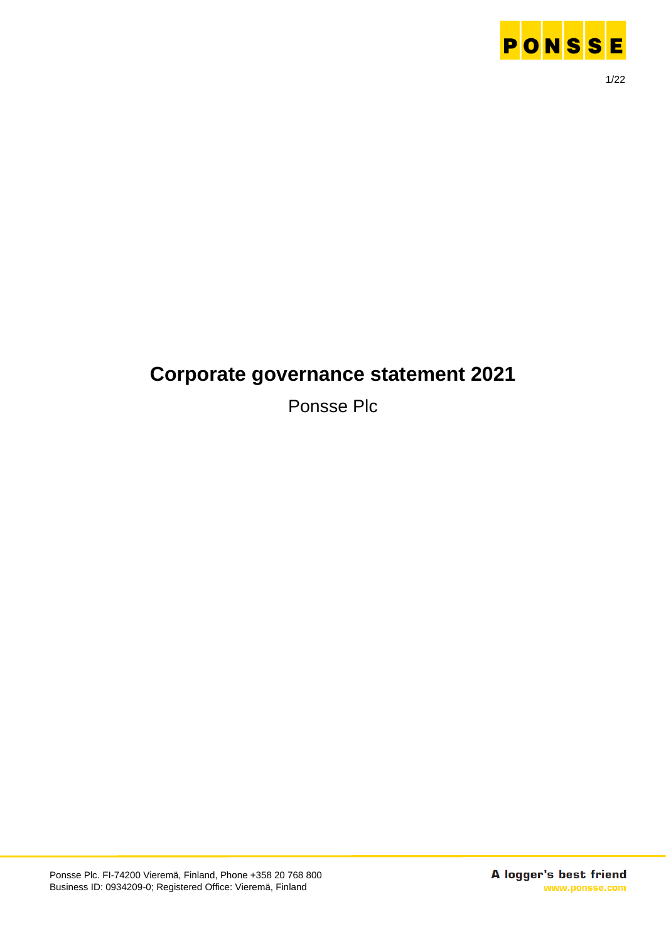

# **Corporate governance statement 2021**

Ponsse Plc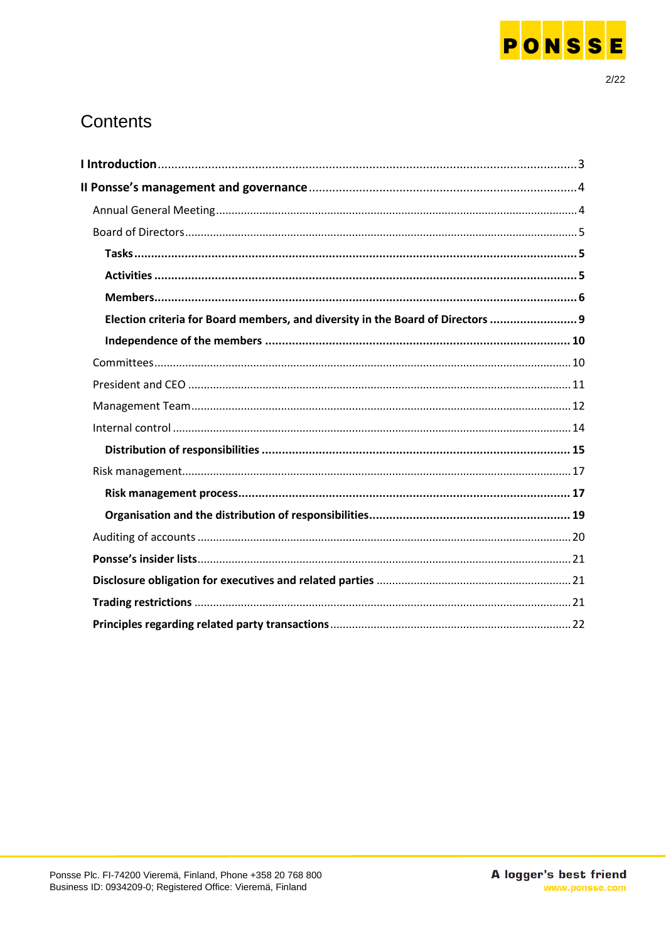

## Contents

| Election criteria for Board members, and diversity in the Board of Directors  9 |  |
|---------------------------------------------------------------------------------|--|
|                                                                                 |  |
|                                                                                 |  |
|                                                                                 |  |
|                                                                                 |  |
|                                                                                 |  |
|                                                                                 |  |
|                                                                                 |  |
|                                                                                 |  |
|                                                                                 |  |
|                                                                                 |  |
|                                                                                 |  |
|                                                                                 |  |
|                                                                                 |  |
|                                                                                 |  |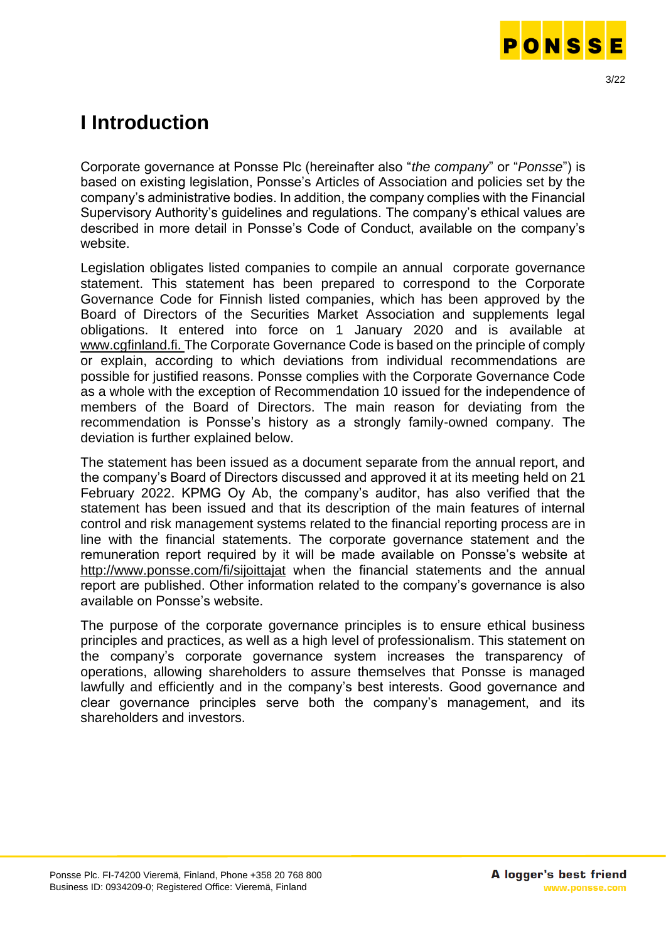

# <span id="page-2-0"></span>**I Introduction**

Corporate governance at Ponsse Plc (hereinafter also "*the company*" or "*Ponsse*") is based on existing legislation, Ponsse's Articles of Association and policies set by the company's administrative bodies. In addition, the company complies with the Financial Supervisory Authority's guidelines and regulations. The company's ethical values are described in more detail in Ponsse's Code of Conduct, available on the company's website.

Legislation obligates listed companies to compile an annual corporate governance statement. This statement has been prepared to correspond to the Corporate Governance Code for Finnish listed companies, which has been approved by the Board of Directors of the Securities Market Association and supplements legal obligations. It entered into force on 1 January 2020 and is available at [www.cgfinland.fi.](http://www.cgfinland.fi/) The Corporate Governance Code is based on the principle of comply or explain, according to which deviations from individual recommendations are possible for justified reasons. Ponsse complies with the Corporate Governance Code as a whole with the exception of Recommendation 10 issued for the independence of members of the Board of Directors. The main reason for deviating from the recommendation is Ponsse's history as a strongly family-owned company. The deviation is further explained below.

The statement has been issued as a document separate from the annual report, and the company's Board of Directors discussed and approved it at its meeting held on 21 February 2022. KPMG Oy Ab, the company's auditor, has also verified that the statement has been issued and that its description of the main features of internal control and risk management systems related to the financial reporting process are in line with the financial statements. The corporate governance statement and the remuneration report required by it will be made available on Ponsse's website at <http://www.ponsse.com/fi/sijoittajat> when the financial statements and the annual report are published. Other information related to the company's governance is also available on Ponsse's website.

The purpose of the corporate governance principles is to ensure ethical business principles and practices, as well as a high level of professionalism. This statement on the company's corporate governance system increases the transparency of operations, allowing shareholders to assure themselves that Ponsse is managed lawfully and efficiently and in the company's best interests. Good governance and clear governance principles serve both the company's management, and its shareholders and investors.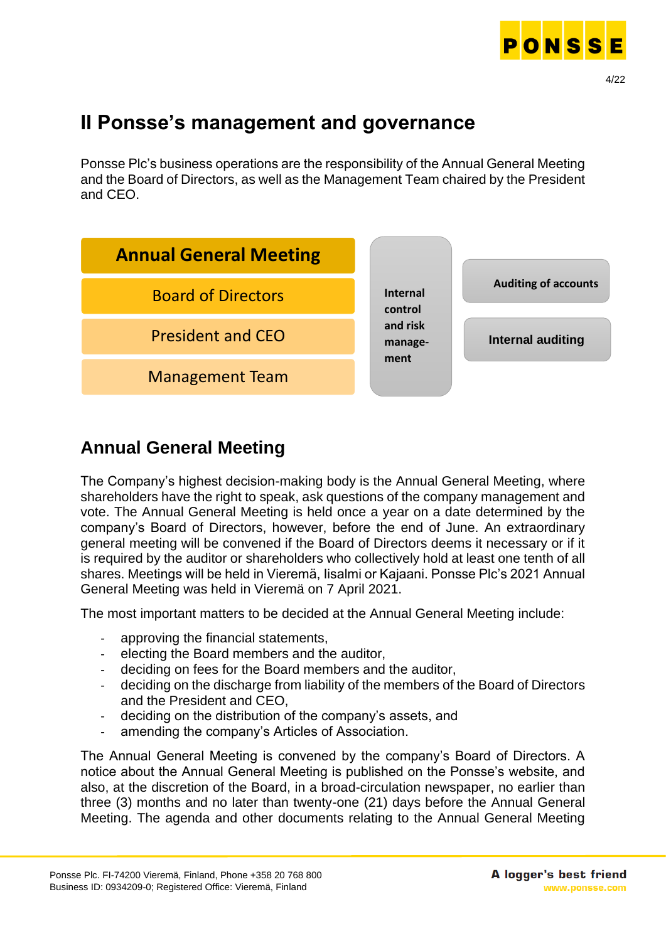

# <span id="page-3-0"></span>**II Ponsse's management and governance**

Ponsse Plc's business operations are the responsibility of the Annual General Meeting and the Board of Directors, as well as the Management Team chaired by the President and CEO.



## <span id="page-3-1"></span>**Annual General Meeting**

The Company's highest decision-making body is the Annual General Meeting, where shareholders have the right to speak, ask questions of the company management and vote. The Annual General Meeting is held once a year on a date determined by the company's Board of Directors, however, before the end of June. An extraordinary general meeting will be convened if the Board of Directors deems it necessary or if it is required by the auditor or shareholders who collectively hold at least one tenth of all shares. Meetings will be held in Vieremä, Iisalmi or Kajaani. Ponsse Plc's 2021 Annual General Meeting was held in Vieremä on 7 April 2021.

The most important matters to be decided at the Annual General Meeting include:

- approving the financial statements,
- electing the Board members and the auditor,
- deciding on fees for the Board members and the auditor,
- deciding on the discharge from liability of the members of the Board of Directors and the President and CEO,
- deciding on the distribution of the company's assets, and
- amending the company's Articles of Association.

The Annual General Meeting is convened by the company's Board of Directors. A notice about the Annual General Meeting is published on the Ponsse's website, and also, at the discretion of the Board, in a broad-circulation newspaper, no earlier than three (3) months and no later than twenty-one (21) days before the Annual General Meeting. The agenda and other documents relating to the Annual General Meeting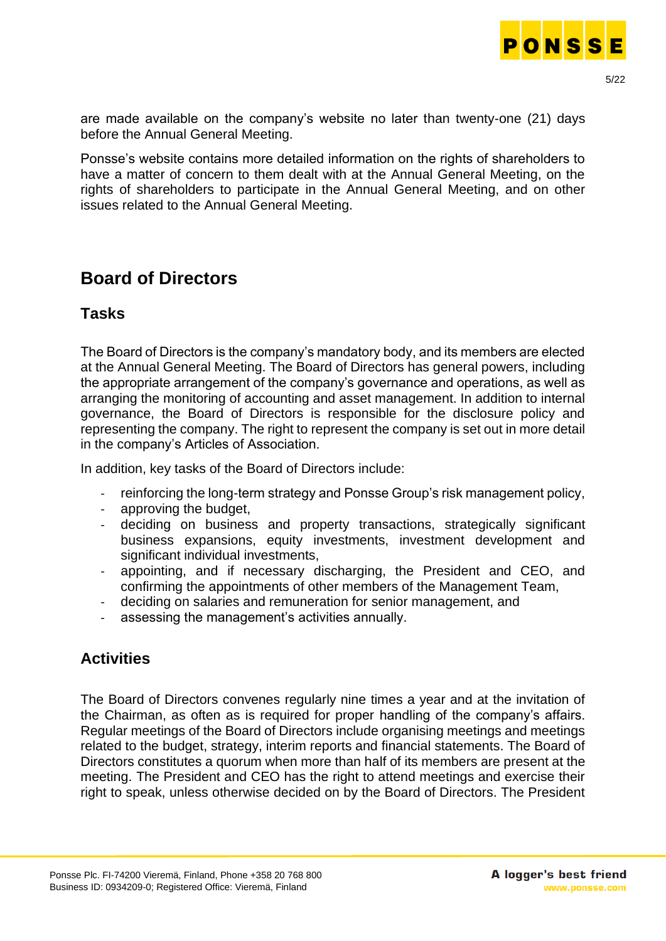

are made available on the company's website no later than twenty-one (21) days before the Annual General Meeting.

Ponsse's website contains more detailed information on the rights of shareholders to have a matter of concern to them dealt with at the Annual General Meeting, on the rights of shareholders to participate in the Annual General Meeting, and on other issues related to the Annual General Meeting.

### <span id="page-4-0"></span>**Board of Directors**

#### <span id="page-4-1"></span>**Tasks**

The Board of Directors is the company's mandatory body, and its members are elected at the Annual General Meeting. The Board of Directors has general powers, including the appropriate arrangement of the company's governance and operations, as well as arranging the monitoring of accounting and asset management. In addition to internal governance, the Board of Directors is responsible for the disclosure policy and representing the company. The right to represent the company is set out in more detail in the company's Articles of Association.

In addition, key tasks of the Board of Directors include:

- reinforcing the long-term strategy and Ponsse Group's risk management policy,
- approving the budget,
- deciding on business and property transactions, strategically significant business expansions, equity investments, investment development and significant individual investments,
- appointing, and if necessary discharging, the President and CEO, and confirming the appointments of other members of the Management Team,
- deciding on salaries and remuneration for senior management, and
- assessing the management's activities annually.

#### <span id="page-4-2"></span>**Activities**

The Board of Directors convenes regularly nine times a year and at the invitation of the Chairman, as often as is required for proper handling of the company's affairs. Regular meetings of the Board of Directors include organising meetings and meetings related to the budget, strategy, interim reports and financial statements. The Board of Directors constitutes a quorum when more than half of its members are present at the meeting. The President and CEO has the right to attend meetings and exercise their right to speak, unless otherwise decided on by the Board of Directors. The President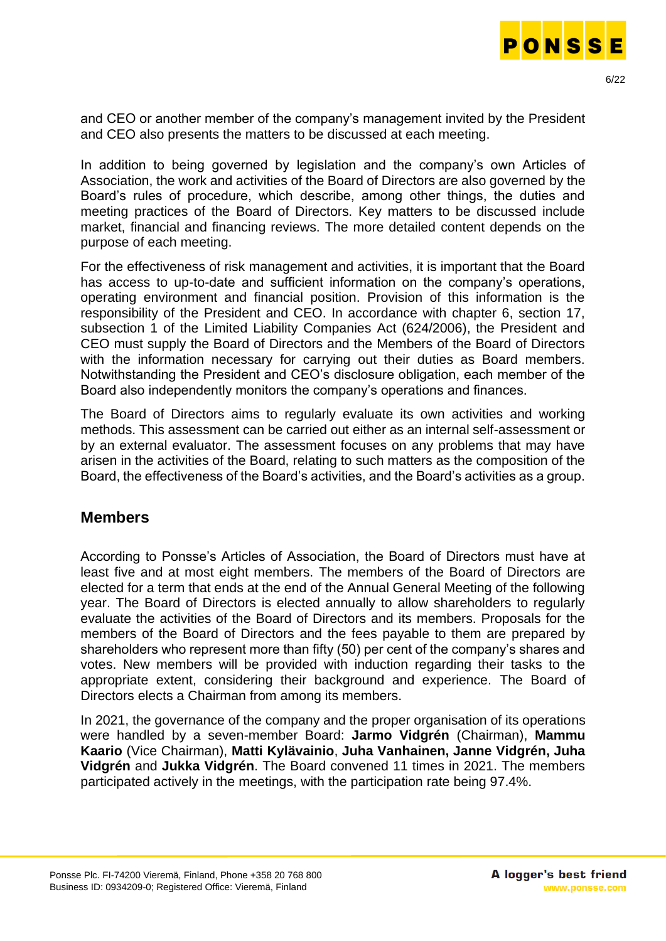

and CEO or another member of the company's management invited by the President and CEO also presents the matters to be discussed at each meeting.

In addition to being governed by legislation and the company's own Articles of Association, the work and activities of the Board of Directors are also governed by the Board's rules of procedure, which describe, among other things, the duties and meeting practices of the Board of Directors. Key matters to be discussed include market, financial and financing reviews. The more detailed content depends on the purpose of each meeting.

For the effectiveness of risk management and activities, it is important that the Board has access to up-to-date and sufficient information on the company's operations, operating environment and financial position. Provision of this information is the responsibility of the President and CEO. In accordance with chapter 6, section 17, subsection 1 of the Limited Liability Companies Act (624/2006), the President and CEO must supply the Board of Directors and the Members of the Board of Directors with the information necessary for carrying out their duties as Board members. Notwithstanding the President and CEO's disclosure obligation, each member of the Board also independently monitors the company's operations and finances.

The Board of Directors aims to regularly evaluate its own activities and working methods. This assessment can be carried out either as an internal self-assessment or by an external evaluator. The assessment focuses on any problems that may have arisen in the activities of the Board, relating to such matters as the composition of the Board, the effectiveness of the Board's activities, and the Board's activities as a group.

#### <span id="page-5-0"></span>**Members**

According to Ponsse's Articles of Association, the Board of Directors must have at least five and at most eight members. The members of the Board of Directors are elected for a term that ends at the end of the Annual General Meeting of the following year. The Board of Directors is elected annually to allow shareholders to regularly evaluate the activities of the Board of Directors and its members. Proposals for the members of the Board of Directors and the fees payable to them are prepared by shareholders who represent more than fifty (50) per cent of the company's shares and votes. New members will be provided with induction regarding their tasks to the appropriate extent, considering their background and experience. The Board of Directors elects a Chairman from among its members.

In 2021, the governance of the company and the proper organisation of its operations were handled by a seven-member Board: **Jarmo Vidgrén** (Chairman), **Mammu Kaario** (Vice Chairman), **Matti Kylävainio**, **Juha Vanhainen, Janne Vidgrén, Juha Vidgrén** and **Jukka Vidgrén**. The Board convened 11 times in 2021. The members participated actively in the meetings, with the participation rate being 97.4%.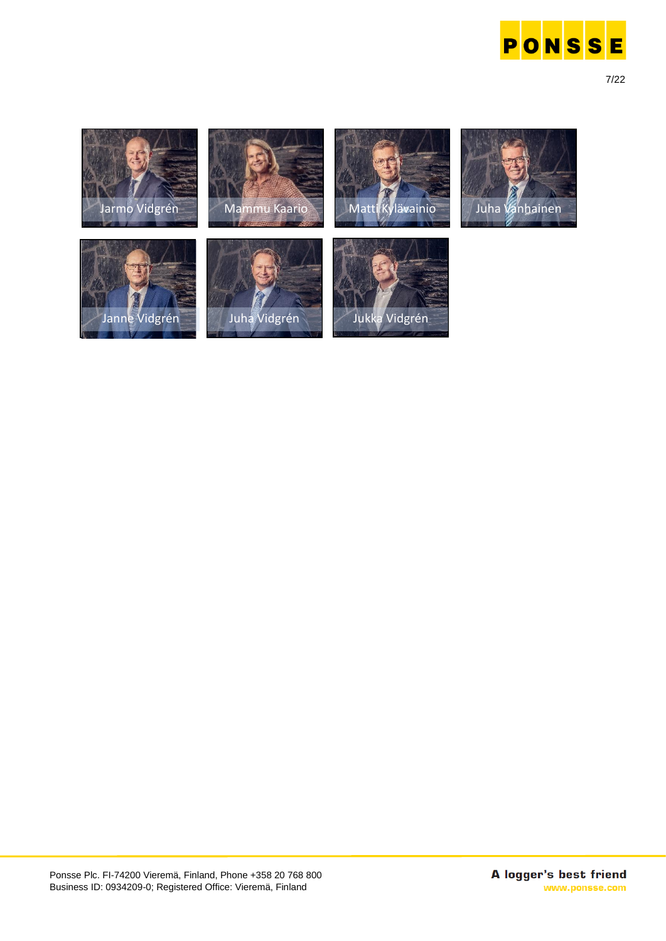

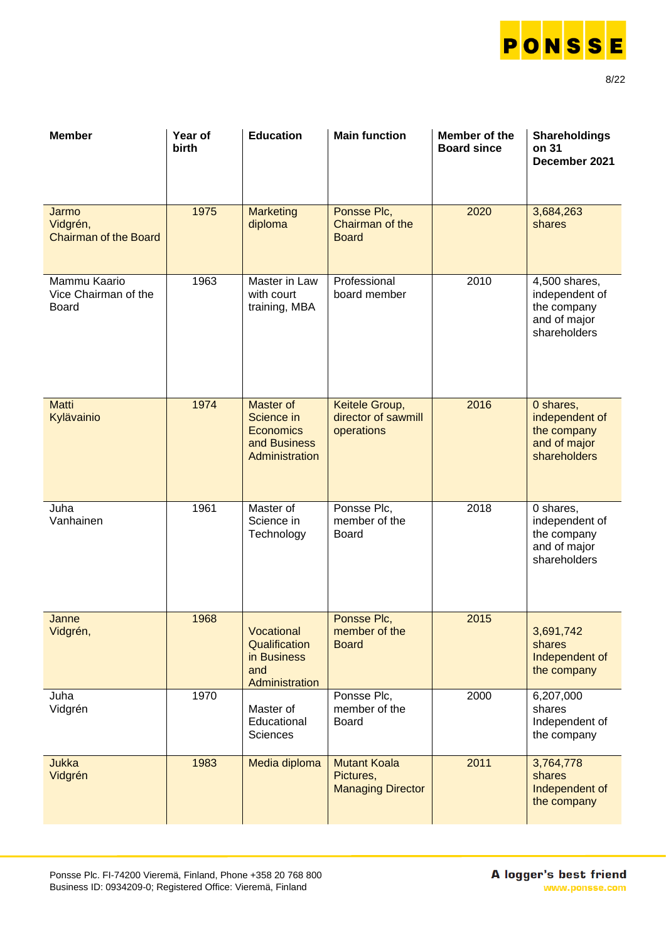

| <b>Member</b>                                     | Year of<br>birth | <b>Education</b>                                                              | <b>Main function</b>                                         | Member of the<br><b>Board since</b> | <b>Shareholdings</b><br>on 31<br>December 2021                                 |
|---------------------------------------------------|------------------|-------------------------------------------------------------------------------|--------------------------------------------------------------|-------------------------------------|--------------------------------------------------------------------------------|
| Jarmo<br>Vidgrén,<br><b>Chairman of the Board</b> | 1975             | <b>Marketing</b><br>diploma                                                   | Ponsse Plc,<br>Chairman of the<br><b>Board</b>               | 2020                                | 3,684,263<br>shares                                                            |
| Mammu Kaario<br>Vice Chairman of the<br>Board     | 1963             | Master in Law<br>with court<br>training, MBA                                  | Professional<br>board member                                 | 2010                                | 4,500 shares,<br>independent of<br>the company<br>and of major<br>shareholders |
| <b>Matti</b><br>Kylävainio                        | 1974             | Master of<br>Science in<br><b>Economics</b><br>and Business<br>Administration | Keitele Group,<br>director of sawmill<br>operations          | 2016                                | 0 shares,<br>independent of<br>the company<br>and of major<br>shareholders     |
| Juha<br>Vanhainen                                 | 1961             | Master of<br>Science in<br>Technology                                         | Ponsse Plc,<br>member of the<br><b>Board</b>                 | 2018                                | 0 shares,<br>independent of<br>the company<br>and of major<br>shareholders     |
| Janne<br>Vidgrén,                                 | 1968             | Vocational<br>Qualification<br>in Business<br>and<br>Administration           | Ponsse Plc,<br>member of the<br><b>Board</b>                 | 2015                                | 3,691,742<br>shares<br>Independent of<br>the company                           |
| Juha<br>Vidgrén                                   | 1970             | Master of<br>Educational<br><b>Sciences</b>                                   | Ponsse Plc,<br>member of the<br><b>Board</b>                 | 2000                                | 6,207,000<br>shares<br>Independent of<br>the company                           |
| <b>Jukka</b><br>Vidgrén                           | 1983             | Media diploma                                                                 | <b>Mutant Koala</b><br>Pictures,<br><b>Managing Director</b> | 2011                                | 3,764,778<br>shares<br>Independent of<br>the company                           |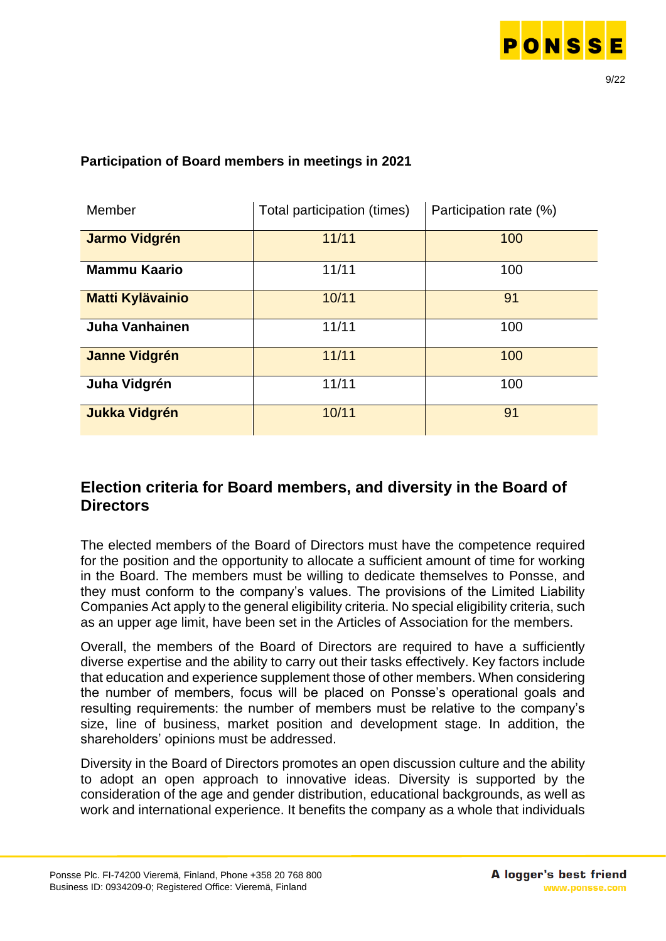

| Member                  | Total participation (times) | Participation rate (%) |
|-------------------------|-----------------------------|------------------------|
| <b>Jarmo Vidgrén</b>    | 11/11                       | 100                    |
| <b>Mammu Kaario</b>     | 11/11                       | 100                    |
| <b>Matti Kylävainio</b> | 10/11                       | 91                     |
| <b>Juha Vanhainen</b>   | 11/11                       | 100                    |
| <b>Janne Vidgrén</b>    | 11/11                       | 100                    |
| Juha Vidgrén            | 11/11                       | 100                    |
| <b>Jukka Vidgrén</b>    | 10/11                       | 91                     |

#### **Participation of Board members in meetings in 2021**

#### <span id="page-8-0"></span>**Election criteria for Board members, and diversity in the Board of Directors**

The elected members of the Board of Directors must have the competence required for the position and the opportunity to allocate a sufficient amount of time for working in the Board. The members must be willing to dedicate themselves to Ponsse, and they must conform to the company's values. The provisions of the Limited Liability Companies Act apply to the general eligibility criteria. No special eligibility criteria, such as an upper age limit, have been set in the Articles of Association for the members.

Overall, the members of the Board of Directors are required to have a sufficiently diverse expertise and the ability to carry out their tasks effectively. Key factors include that education and experience supplement those of other members. When considering the number of members, focus will be placed on Ponsse's operational goals and resulting requirements: the number of members must be relative to the company's size, line of business, market position and development stage. In addition, the shareholders' opinions must be addressed.

Diversity in the Board of Directors promotes an open discussion culture and the ability to adopt an open approach to innovative ideas. Diversity is supported by the consideration of the age and gender distribution, educational backgrounds, as well as work and international experience. It benefits the company as a whole that individuals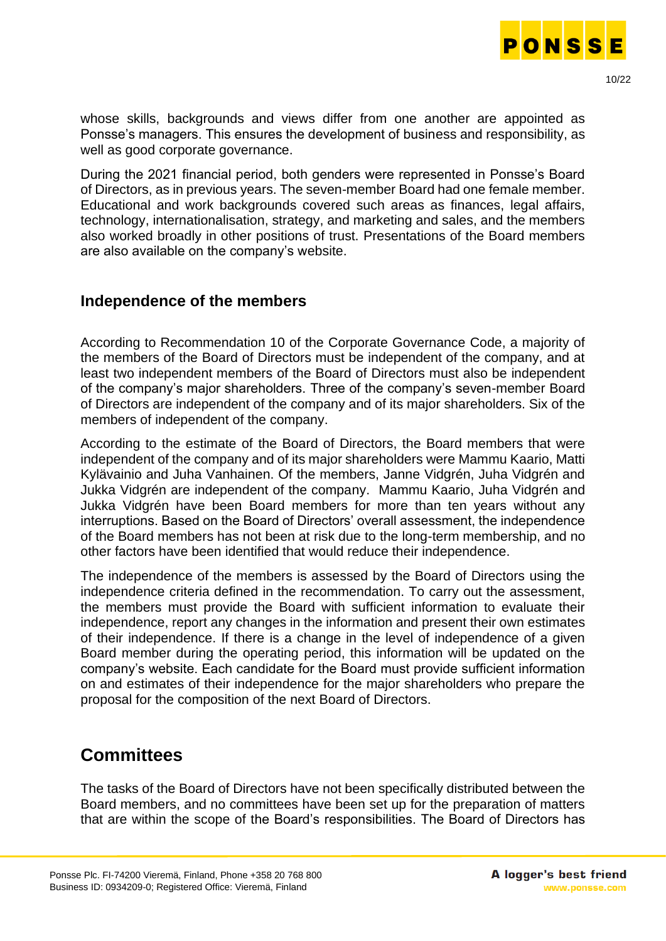

whose skills, backgrounds and views differ from one another are appointed as Ponsse's managers. This ensures the development of business and responsibility, as well as good corporate governance.

During the 2021 financial period, both genders were represented in Ponsse's Board of Directors, as in previous years. The seven-member Board had one female member. Educational and work backgrounds covered such areas as finances, legal affairs, technology, internationalisation, strategy, and marketing and sales, and the members also worked broadly in other positions of trust. Presentations of the Board members are also available on the company's website.

#### <span id="page-9-0"></span>**Independence of the members**

According to Recommendation 10 of the Corporate Governance Code, a majority of the members of the Board of Directors must be independent of the company, and at least two independent members of the Board of Directors must also be independent of the company's major shareholders. Three of the company's seven-member Board of Directors are independent of the company and of its major shareholders. Six of the members of independent of the company.

According to the estimate of the Board of Directors, the Board members that were independent of the company and of its major shareholders were Mammu Kaario, Matti Kylävainio and Juha Vanhainen. Of the members, Janne Vidgrén, Juha Vidgrén and Jukka Vidgrén are independent of the company. Mammu Kaario, Juha Vidgrén and Jukka Vidgrén have been Board members for more than ten years without any interruptions. Based on the Board of Directors' overall assessment, the independence of the Board members has not been at risk due to the long-term membership, and no other factors have been identified that would reduce their independence.

The independence of the members is assessed by the Board of Directors using the independence criteria defined in the recommendation. To carry out the assessment, the members must provide the Board with sufficient information to evaluate their independence, report any changes in the information and present their own estimates of their independence. If there is a change in the level of independence of a given Board member during the operating period, this information will be updated on the company's website. Each candidate for the Board must provide sufficient information on and estimates of their independence for the major shareholders who prepare the proposal for the composition of the next Board of Directors.

### <span id="page-9-1"></span>**Committees**

The tasks of the Board of Directors have not been specifically distributed between the Board members, and no committees have been set up for the preparation of matters that are within the scope of the Board's responsibilities. The Board of Directors has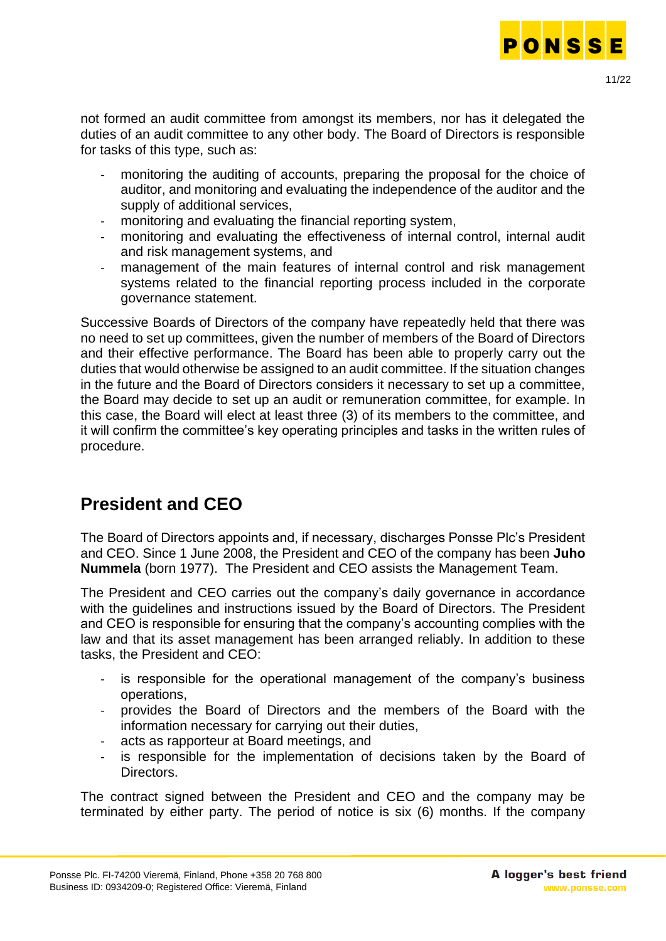

not formed an audit committee from amongst its members, nor has it delegated the duties of an audit committee to any other body. The Board of Directors is responsible for tasks of this type, such as:

- monitoring the auditing of accounts, preparing the proposal for the choice of auditor, and monitoring and evaluating the independence of the auditor and the supply of additional services,
- monitoring and evaluating the financial reporting system,
- monitoring and evaluating the effectiveness of internal control, internal audit and risk management systems, and
- management of the main features of internal control and risk management systems related to the financial reporting process included in the corporate governance statement.

Successive Boards of Directors of the company have repeatedly held that there was no need to set up committees, given the number of members of the Board of Directors and their effective performance. The Board has been able to properly carry out the duties that would otherwise be assigned to an audit committee. If the situation changes in the future and the Board of Directors considers it necessary to set up a committee, the Board may decide to set up an audit or remuneration committee, for example. In this case, the Board will elect at least three (3) of its members to the committee, and it will confirm the committee's key operating principles and tasks in the written rules of procedure.

## <span id="page-10-0"></span>**President and CEO**

The Board of Directors appoints and, if necessary, discharges Ponsse Plc's President and CEO. Since 1 June 2008, the President and CEO of the company has been **Juho Nummela** (born 1977). The President and CEO assists the Management Team.

The President and CEO carries out the company's daily governance in accordance with the guidelines and instructions issued by the Board of Directors. The President and CEO is responsible for ensuring that the company's accounting complies with the law and that its asset management has been arranged reliably. In addition to these tasks, the President and CEO:

- is responsible for the operational management of the company's business operations,
- provides the Board of Directors and the members of the Board with the information necessary for carrying out their duties,
- acts as rapporteur at Board meetings, and
- is responsible for the implementation of decisions taken by the Board of Directors.

The contract signed between the President and CEO and the company may be terminated by either party. The period of notice is six (6) months. If the company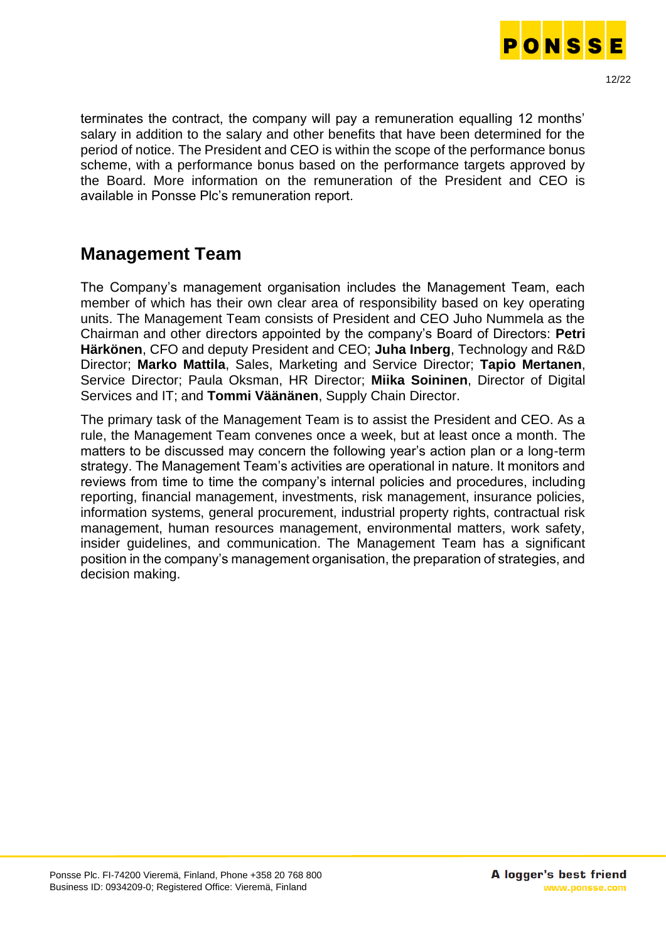

terminates the contract, the company will pay a remuneration equalling 12 months' salary in addition to the salary and other benefits that have been determined for the period of notice. The President and CEO is within the scope of the performance bonus scheme, with a performance bonus based on the performance targets approved by the Board. More information on the remuneration of the President and CEO is available in Ponsse Plc's remuneration report.

### <span id="page-11-0"></span>**Management Team**

The Company's management organisation includes the Management Team, each member of which has their own clear area of responsibility based on key operating units. The Management Team consists of President and CEO Juho Nummela as the Chairman and other directors appointed by the company's Board of Directors: **Petri Härkönen**, CFO and deputy President and CEO; **Juha Inberg**, Technology and R&D Director; **Marko Mattila**, Sales, Marketing and Service Director; **Tapio Mertanen**, Service Director; Paula Oksman, HR Director; **Miika Soininen**, Director of Digital Services and IT; and **Tommi Väänänen**, Supply Chain Director.

The primary task of the Management Team is to assist the President and CEO. As a rule, the Management Team convenes once a week, but at least once a month. The matters to be discussed may concern the following year's action plan or a long-term strategy. The Management Team's activities are operational in nature. It monitors and reviews from time to time the company's internal policies and procedures, including reporting, financial management, investments, risk management, insurance policies, information systems, general procurement, industrial property rights, contractual risk management, human resources management, environmental matters, work safety, insider guidelines, and communication. The Management Team has a significant position in the company's management organisation, the preparation of strategies, and decision making.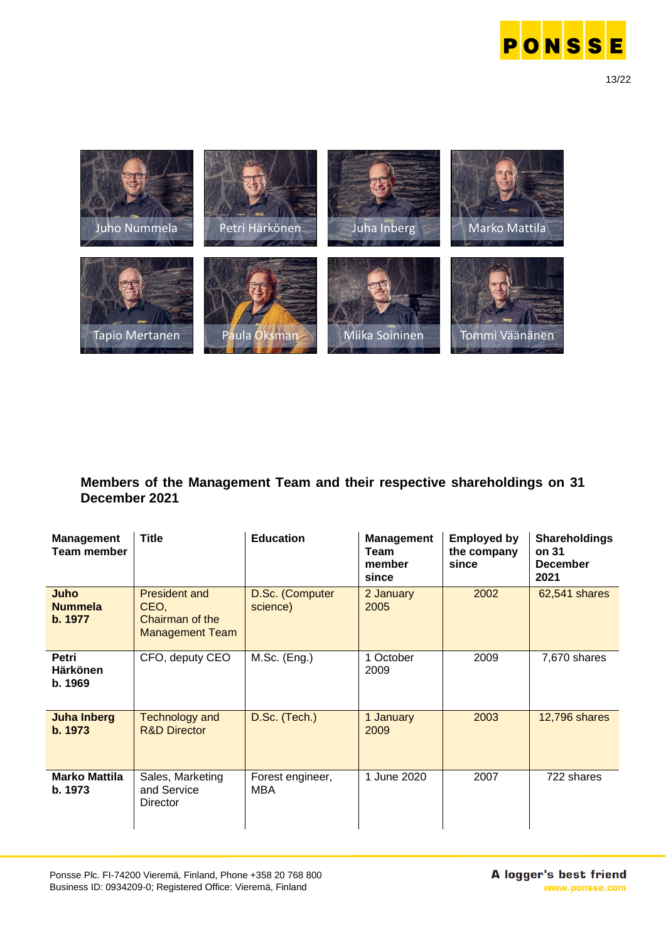



#### **Members of the Management Team and their respective shareholdings on 31 December 2021**

| <b>Management</b><br><b>Team member</b> | <b>Title</b>                                                              | <b>Education</b>            | <b>Management</b><br>Team<br>member<br>since | <b>Employed by</b><br>the company<br>since | <b>Shareholdings</b><br>on 31<br><b>December</b><br>2021 |
|-----------------------------------------|---------------------------------------------------------------------------|-----------------------------|----------------------------------------------|--------------------------------------------|----------------------------------------------------------|
| Juho<br><b>Nummela</b><br>b. 1977       | <b>President and</b><br>CEO,<br>Chairman of the<br><b>Management Team</b> | D.Sc. (Computer<br>science) | 2 January<br>2005                            | 2002                                       | 62,541 shares                                            |
| Petri<br><b>Härkönen</b><br>b. 1969     | CFO, deputy CEO                                                           | $M.Sc.$ (Eng.)              | 1 October<br>2009                            | 2009                                       | 7,670 shares                                             |
| <b>Juha Inberg</b><br>b. 1973           | <b>Technology and</b><br><b>R&amp;D Director</b>                          | D.Sc. (Tech.)               | 1 January<br>2009                            | 2003                                       | <b>12,796 shares</b>                                     |
| <b>Marko Mattila</b><br>b. 1973         | Sales, Marketing<br>and Service<br>Director                               | Forest engineer,<br>MBA     | 1 June 2020                                  | 2007                                       | 722 shares                                               |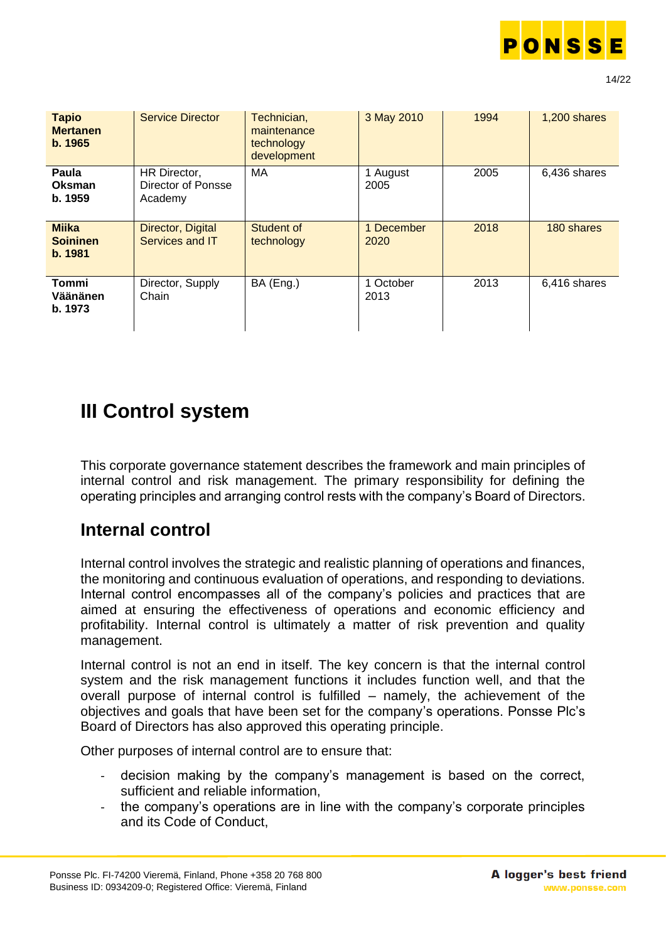

| <b>Tapio</b><br><b>Mertanen</b><br>b. 1965 | <b>Service Director</b>                       | Technician,<br>maintenance<br>technology<br>development | 3 May 2010         | 1994 | 1,200 shares |
|--------------------------------------------|-----------------------------------------------|---------------------------------------------------------|--------------------|------|--------------|
| Paula<br>Oksman<br>b. 1959                 | HR Director,<br>Director of Ponsse<br>Academy | MA                                                      | 1 August<br>2005   | 2005 | 6,436 shares |
| <b>Miika</b><br><b>Soininen</b><br>b. 1981 | Director, Digital<br>Services and IT          | Student of<br>technology                                | 1 December<br>2020 | 2018 | 180 shares   |
| Tommi<br>Väänänen<br>b. 1973               | Director, Supply<br>Chain                     | BA (Eng.)                                               | 1 October<br>2013  | 2013 | 6,416 shares |

# **III Control system**

This corporate governance statement describes the framework and main principles of internal control and risk management. The primary responsibility for defining the operating principles and arranging control rests with the company's Board of Directors.

## <span id="page-13-0"></span>**Internal control**

Internal control involves the strategic and realistic planning of operations and finances, the monitoring and continuous evaluation of operations, and responding to deviations. Internal control encompasses all of the company's policies and practices that are aimed at ensuring the effectiveness of operations and economic efficiency and profitability. Internal control is ultimately a matter of risk prevention and quality management.

Internal control is not an end in itself. The key concern is that the internal control system and the risk management functions it includes function well, and that the overall purpose of internal control is fulfilled – namely, the achievement of the objectives and goals that have been set for the company's operations. Ponsse Plc's Board of Directors has also approved this operating principle.

Other purposes of internal control are to ensure that:

- decision making by the company's management is based on the correct, sufficient and reliable information,
- the company's operations are in line with the company's corporate principles and its Code of Conduct,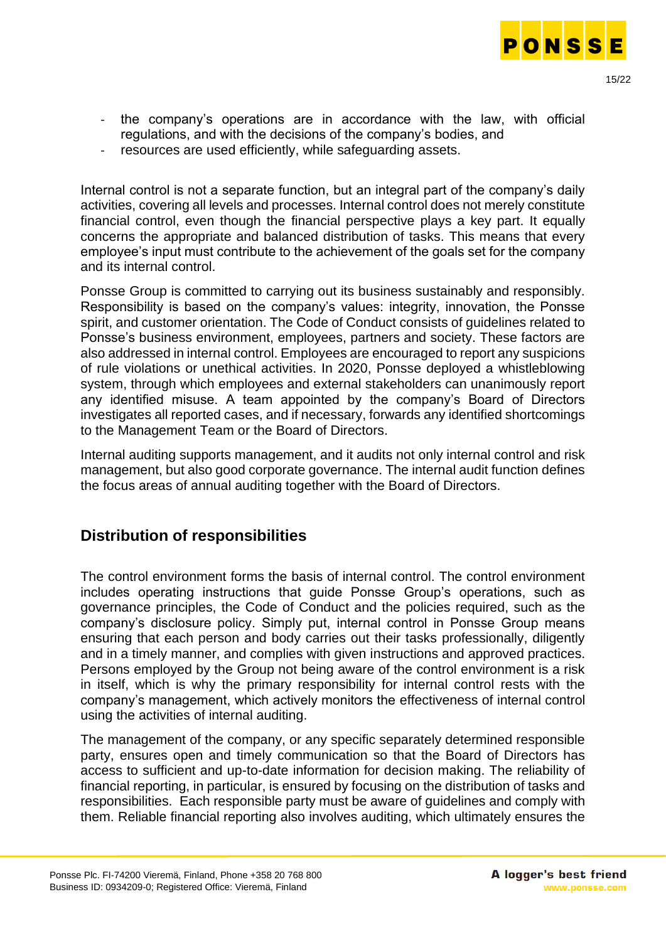

- the company's operations are in accordance with the law, with official regulations, and with the decisions of the company's bodies, and
- resources are used efficiently, while safeguarding assets.

Internal control is not a separate function, but an integral part of the company's daily activities, covering all levels and processes. Internal control does not merely constitute financial control, even though the financial perspective plays a key part. It equally concerns the appropriate and balanced distribution of tasks. This means that every employee's input must contribute to the achievement of the goals set for the company and its internal control.

Ponsse Group is committed to carrying out its business sustainably and responsibly. Responsibility is based on the company's values: integrity, innovation, the Ponsse spirit, and customer orientation. The Code of Conduct consists of guidelines related to Ponsse's business environment, employees, partners and society. These factors are also addressed in internal control. Employees are encouraged to report any suspicions of rule violations or unethical activities. In 2020, Ponsse deployed a whistleblowing system, through which employees and external stakeholders can unanimously report any identified misuse. A team appointed by the company's Board of Directors investigates all reported cases, and if necessary, forwards any identified shortcomings to the Management Team or the Board of Directors.

Internal auditing supports management, and it audits not only internal control and risk management, but also good corporate governance. The internal audit function defines the focus areas of annual auditing together with the Board of Directors.

#### <span id="page-14-0"></span>**Distribution of responsibilities**

The control environment forms the basis of internal control. The control environment includes operating instructions that guide Ponsse Group's operations, such as governance principles, the Code of Conduct and the policies required, such as the company's disclosure policy. Simply put, internal control in Ponsse Group means ensuring that each person and body carries out their tasks professionally, diligently and in a timely manner, and complies with given instructions and approved practices. Persons employed by the Group not being aware of the control environment is a risk in itself, which is why the primary responsibility for internal control rests with the company's management, which actively monitors the effectiveness of internal control using the activities of internal auditing.

The management of the company, or any specific separately determined responsible party, ensures open and timely communication so that the Board of Directors has access to sufficient and up-to-date information for decision making. The reliability of financial reporting, in particular, is ensured by focusing on the distribution of tasks and responsibilities. Each responsible party must be aware of guidelines and comply with them. Reliable financial reporting also involves auditing, which ultimately ensures the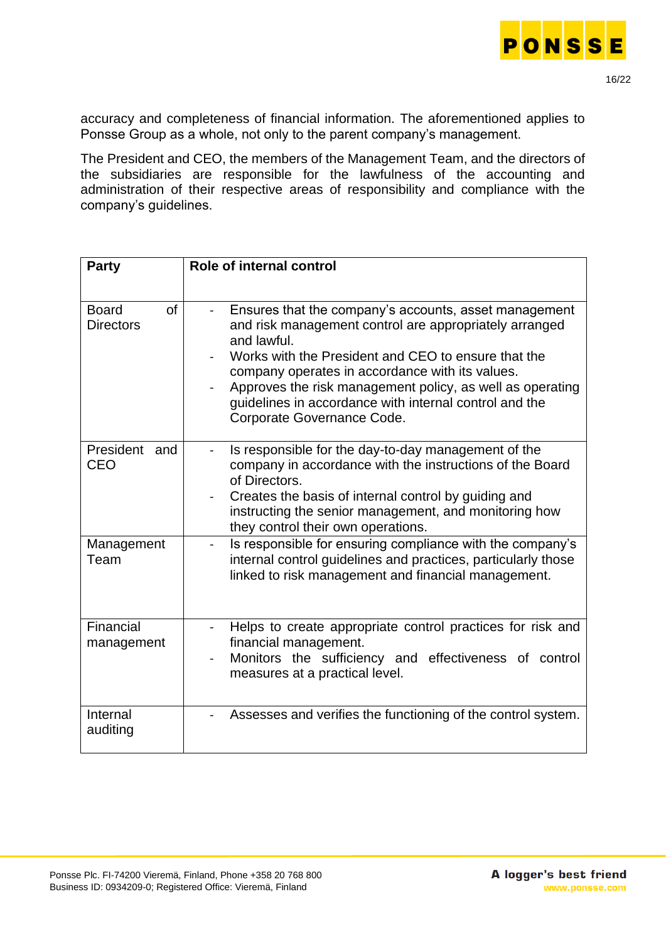

accuracy and completeness of financial information. The aforementioned applies to Ponsse Group as a whole, not only to the parent company's management.

The President and CEO, the members of the Management Team, and the directors of the subsidiaries are responsible for the lawfulness of the accounting and administration of their respective areas of responsibility and compliance with the company's guidelines.

| <b>Party</b>                                  | Role of internal control                                                                                                                                                                                                                                                                                                                                                                      |
|-----------------------------------------------|-----------------------------------------------------------------------------------------------------------------------------------------------------------------------------------------------------------------------------------------------------------------------------------------------------------------------------------------------------------------------------------------------|
| <b>of</b><br><b>Board</b><br><b>Directors</b> | Ensures that the company's accounts, asset management<br>and risk management control are appropriately arranged<br>and lawful.<br>Works with the President and CEO to ensure that the<br>company operates in accordance with its values.<br>Approves the risk management policy, as well as operating<br>guidelines in accordance with internal control and the<br>Corporate Governance Code. |
| President and<br>CEO                          | Is responsible for the day-to-day management of the<br>company in accordance with the instructions of the Board<br>of Directors.<br>Creates the basis of internal control by guiding and<br>instructing the senior management, and monitoring how<br>they control their own operations.                                                                                                       |
| Management<br>Team                            | Is responsible for ensuring compliance with the company's<br>internal control guidelines and practices, particularly those<br>linked to risk management and financial management.                                                                                                                                                                                                             |
| Financial<br>management                       | Helps to create appropriate control practices for risk and<br>financial management.<br>Monitors the sufficiency and effectiveness of control<br>measures at a practical level.                                                                                                                                                                                                                |
| Internal<br>auditing                          | Assesses and verifies the functioning of the control system.                                                                                                                                                                                                                                                                                                                                  |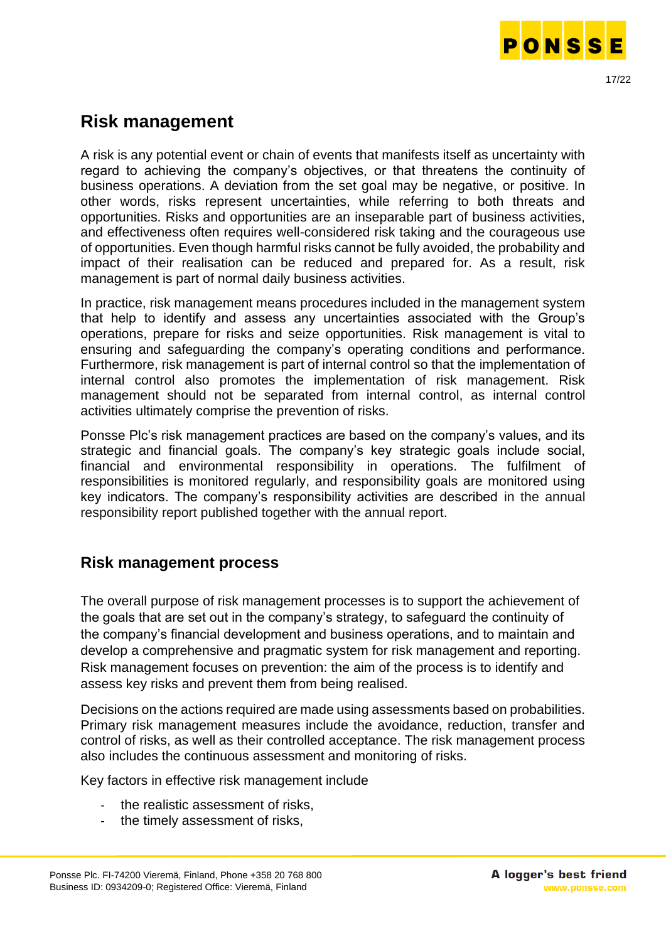

<span id="page-16-0"></span>A risk is any potential event or chain of events that manifests itself as uncertainty with regard to achieving the company's objectives, or that threatens the continuity of business operations. A deviation from the set goal may be negative, or positive. In other words, risks represent uncertainties, while referring to both threats and opportunities. Risks and opportunities are an inseparable part of business activities, and effectiveness often requires well-considered risk taking and the courageous use of opportunities. Even though harmful risks cannot be fully avoided, the probability and impact of their realisation can be reduced and prepared for. As a result, risk management is part of normal daily business activities.

In practice, risk management means procedures included in the management system that help to identify and assess any uncertainties associated with the Group's operations, prepare for risks and seize opportunities. Risk management is vital to ensuring and safeguarding the company's operating conditions and performance. Furthermore, risk management is part of internal control so that the implementation of internal control also promotes the implementation of risk management. Risk management should not be separated from internal control, as internal control activities ultimately comprise the prevention of risks.

Ponsse Plc's risk management practices are based on the company's values, and its strategic and financial goals. The company's key strategic goals include social, financial and environmental responsibility in operations. The fulfilment of responsibilities is monitored regularly, and responsibility goals are monitored using key indicators. The company's responsibility activities are described in the annual responsibility report published together with the annual report.

### <span id="page-16-1"></span>**Risk management process**

The overall purpose of risk management processes is to support the achievement of the goals that are set out in the company's strategy, to safeguard the continuity of the company's financial development and business operations, and to maintain and develop a comprehensive and pragmatic system for risk management and reporting. Risk management focuses on prevention: the aim of the process is to identify and assess key risks and prevent them from being realised.

Decisions on the actions required are made using assessments based on probabilities. Primary risk management measures include the avoidance, reduction, transfer and control of risks, as well as their controlled acceptance. The risk management process also includes the continuous assessment and monitoring of risks.

Key factors in effective risk management include

- the realistic assessment of risks.
- the timely assessment of risks,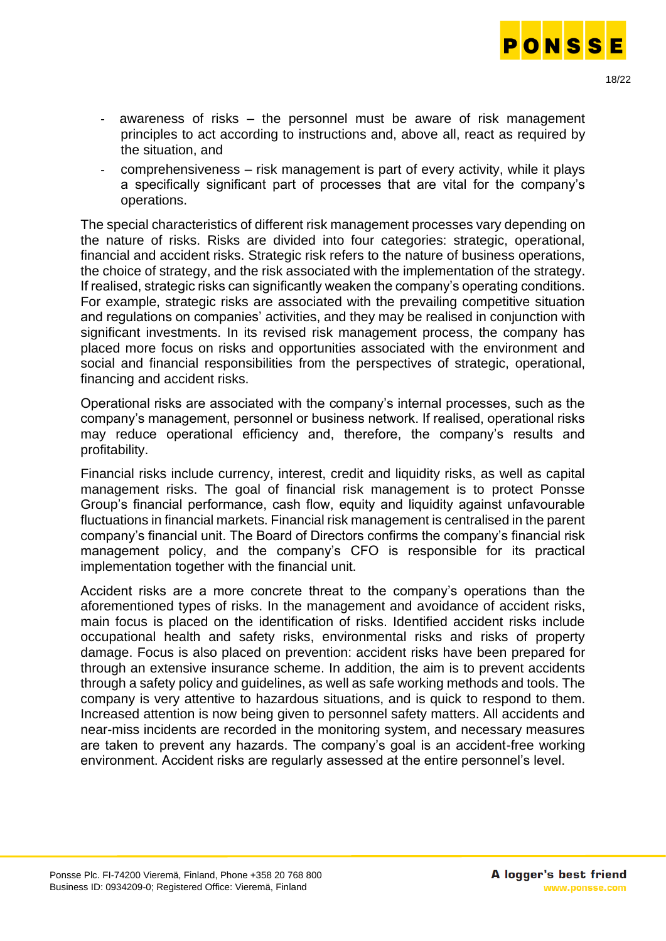

- awareness of risks the personnel must be aware of risk management principles to act according to instructions and, above all, react as required by the situation, and
- comprehensiveness risk management is part of every activity, while it plays a specifically significant part of processes that are vital for the company's operations.

The special characteristics of different risk management processes vary depending on the nature of risks. Risks are divided into four categories: strategic, operational, financial and accident risks. Strategic risk refers to the nature of business operations, the choice of strategy, and the risk associated with the implementation of the strategy. If realised, strategic risks can significantly weaken the company's operating conditions. For example, strategic risks are associated with the prevailing competitive situation and regulations on companies' activities, and they may be realised in conjunction with significant investments. In its revised risk management process, the company has placed more focus on risks and opportunities associated with the environment and social and financial responsibilities from the perspectives of strategic, operational, financing and accident risks.

Operational risks are associated with the company's internal processes, such as the company's management, personnel or business network. If realised, operational risks may reduce operational efficiency and, therefore, the company's results and profitability.

Financial risks include currency, interest, credit and liquidity risks, as well as capital management risks. The goal of financial risk management is to protect Ponsse Group's financial performance, cash flow, equity and liquidity against unfavourable fluctuations in financial markets. Financial risk management is centralised in the parent company's financial unit. The Board of Directors confirms the company's financial risk management policy, and the company's CFO is responsible for its practical implementation together with the financial unit.

Accident risks are a more concrete threat to the company's operations than the aforementioned types of risks. In the management and avoidance of accident risks, main focus is placed on the identification of risks. Identified accident risks include occupational health and safety risks, environmental risks and risks of property damage. Focus is also placed on prevention: accident risks have been prepared for through an extensive insurance scheme. In addition, the aim is to prevent accidents through a safety policy and guidelines, as well as safe working methods and tools. The company is very attentive to hazardous situations, and is quick to respond to them. Increased attention is now being given to personnel safety matters. All accidents and near-miss incidents are recorded in the monitoring system, and necessary measures are taken to prevent any hazards. The company's goal is an accident-free working environment. Accident risks are regularly assessed at the entire personnel's level.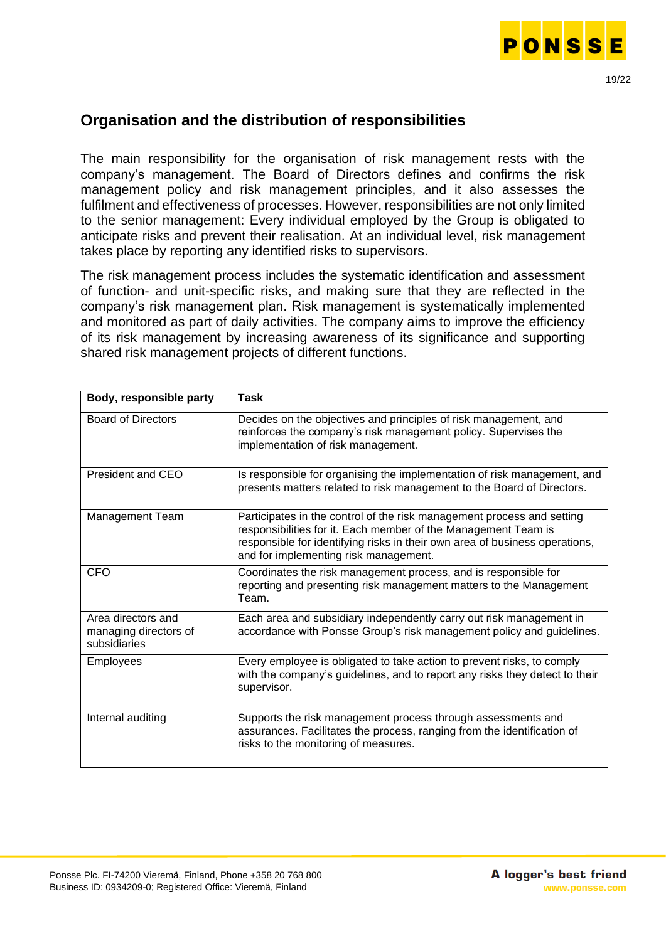

#### <span id="page-18-0"></span>**Organisation and the distribution of responsibilities**

The main responsibility for the organisation of risk management rests with the company's management. The Board of Directors defines and confirms the risk management policy and risk management principles, and it also assesses the fulfilment and effectiveness of processes. However, responsibilities are not only limited to the senior management: Every individual employed by the Group is obligated to anticipate risks and prevent their realisation. At an individual level, risk management takes place by reporting any identified risks to supervisors.

The risk management process includes the systematic identification and assessment of function- and unit-specific risks, and making sure that they are reflected in the company's risk management plan. Risk management is systematically implemented and monitored as part of daily activities. The company aims to improve the efficiency of its risk management by increasing awareness of its significance and supporting shared risk management projects of different functions.

| Body, responsible party                                     | <b>Task</b>                                                                                                                                                                                                                                                      |
|-------------------------------------------------------------|------------------------------------------------------------------------------------------------------------------------------------------------------------------------------------------------------------------------------------------------------------------|
| <b>Board of Directors</b>                                   | Decides on the objectives and principles of risk management, and<br>reinforces the company's risk management policy. Supervises the<br>implementation of risk management.                                                                                        |
| President and CEO                                           | Is responsible for organising the implementation of risk management, and<br>presents matters related to risk management to the Board of Directors.                                                                                                               |
| Management Team                                             | Participates in the control of the risk management process and setting<br>responsibilities for it. Each member of the Management Team is<br>responsible for identifying risks in their own area of business operations,<br>and for implementing risk management. |
| <b>CFO</b>                                                  | Coordinates the risk management process, and is responsible for<br>reporting and presenting risk management matters to the Management<br>Team.                                                                                                                   |
| Area directors and<br>managing directors of<br>subsidiaries | Each area and subsidiary independently carry out risk management in<br>accordance with Ponsse Group's risk management policy and guidelines.                                                                                                                     |
| <b>Employees</b>                                            | Every employee is obligated to take action to prevent risks, to comply<br>with the company's guidelines, and to report any risks they detect to their<br>supervisor.                                                                                             |
| Internal auditing                                           | Supports the risk management process through assessments and<br>assurances. Facilitates the process, ranging from the identification of<br>risks to the monitoring of measures.                                                                                  |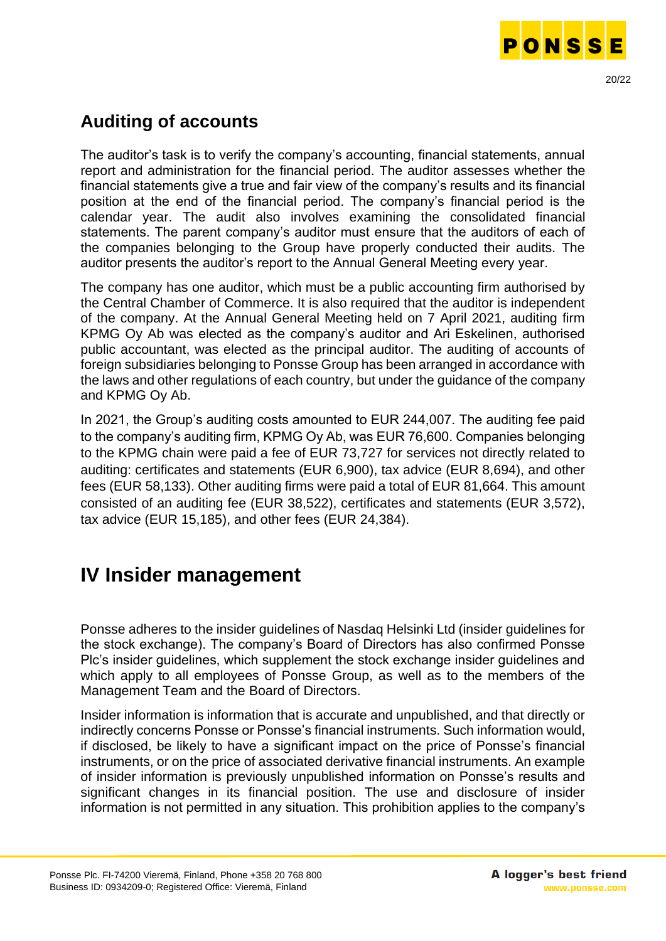

## <span id="page-19-0"></span>**Auditing of accounts**

The auditor's task is to verify the company's accounting, financial statements, annual report and administration for the financial period. The auditor assesses whether the financial statements give a true and fair view of the company's results and its financial position at the end of the financial period. The company's financial period is the calendar year. The audit also involves examining the consolidated financial statements. The parent company's auditor must ensure that the auditors of each of the companies belonging to the Group have properly conducted their audits. The auditor presents the auditor's report to the Annual General Meeting every year.

The company has one auditor, which must be a public accounting firm authorised by the Central Chamber of Commerce. It is also required that the auditor is independent of the company. At the Annual General Meeting held on 7 April 2021, auditing firm KPMG Oy Ab was elected as the company's auditor and Ari Eskelinen, authorised public accountant, was elected as the principal auditor. The auditing of accounts of foreign subsidiaries belonging to Ponsse Group has been arranged in accordance with the laws and other regulations of each country, but under the guidance of the company and KPMG Oy Ab.

In 2021, the Group's auditing costs amounted to EUR 244,007. The auditing fee paid to the company's auditing firm, KPMG Oy Ab, was EUR 76,600. Companies belonging to the KPMG chain were paid a fee of EUR 73,727 for services not directly related to auditing: certificates and statements (EUR 6,900), tax advice (EUR 8,694), and other fees (EUR 58,133). Other auditing firms were paid a total of EUR 81,664. This amount consisted of an auditing fee (EUR 38,522), certificates and statements (EUR 3,572), tax advice (EUR 15,185), and other fees (EUR 24,384).

## **IV Insider management**

Ponsse adheres to the insider guidelines of Nasdaq Helsinki Ltd (insider guidelines for the stock exchange). The company's Board of Directors has also confirmed Ponsse Plc's insider guidelines, which supplement the stock exchange insider guidelines and which apply to all employees of Ponsse Group, as well as to the members of the Management Team and the Board of Directors.

Insider information is information that is accurate and unpublished, and that directly or indirectly concerns Ponsse or Ponsse's financial instruments. Such information would, if disclosed, be likely to have a significant impact on the price of Ponsse's financial instruments, or on the price of associated derivative financial instruments. An example of insider information is previously unpublished information on Ponsse's results and significant changes in its financial position. The use and disclosure of insider information is not permitted in any situation. This prohibition applies to the company's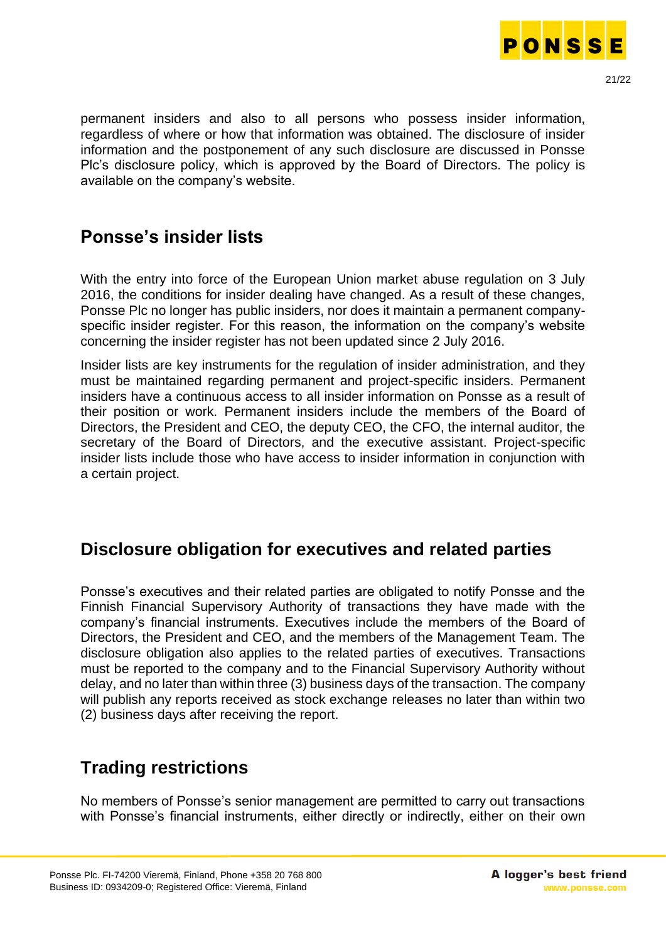

permanent insiders and also to all persons who possess insider information, regardless of where or how that information was obtained. The disclosure of insider information and the postponement of any such disclosure are discussed in Ponsse Plc's disclosure policy, which is approved by the Board of Directors. The policy is available on the company's website.

### <span id="page-20-0"></span>**Ponsse's insider lists**

With the entry into force of the European Union market abuse regulation on 3 July 2016, the conditions for insider dealing have changed. As a result of these changes, Ponsse Plc no longer has public insiders, nor does it maintain a permanent companyspecific insider register. For this reason, the information on the company's website concerning the insider register has not been updated since 2 July 2016.

Insider lists are key instruments for the regulation of insider administration, and they must be maintained regarding permanent and project-specific insiders. Permanent insiders have a continuous access to all insider information on Ponsse as a result of their position or work. Permanent insiders include the members of the Board of Directors, the President and CEO, the deputy CEO, the CFO, the internal auditor, the secretary of the Board of Directors, and the executive assistant. Project-specific insider lists include those who have access to insider information in conjunction with a certain project.

## <span id="page-20-1"></span>**Disclosure obligation for executives and related parties**

Ponsse's executives and their related parties are obligated to notify Ponsse and the Finnish Financial Supervisory Authority of transactions they have made with the company's financial instruments. Executives include the members of the Board of Directors, the President and CEO, and the members of the Management Team. The disclosure obligation also applies to the related parties of executives. Transactions must be reported to the company and to the Financial Supervisory Authority without delay, and no later than within three (3) business days of the transaction. The company will publish any reports received as stock exchange releases no later than within two (2) business days after receiving the report.

## <span id="page-20-2"></span>**Trading restrictions**

No members of Ponsse's senior management are permitted to carry out transactions with Ponsse's financial instruments, either directly or indirectly, either on their own